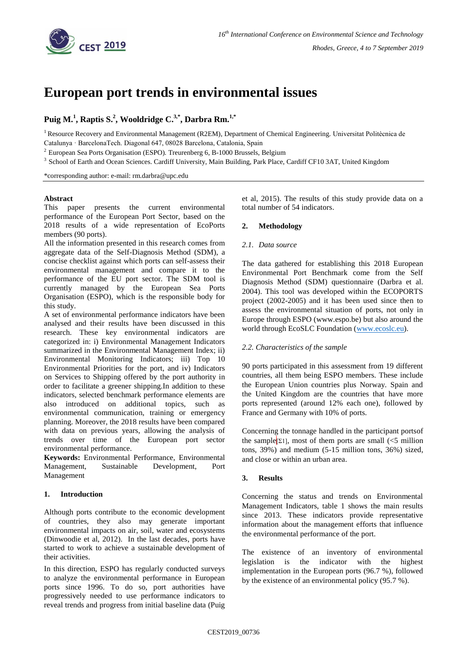

# **European port trends in environmental issues**

## **Puig M. 1 , Raptis S. 2 , Wooldridge C. 3,\* , Darbra Rm. 1,\***

<sup>1</sup> Resource Recovery and Environmental Management (R2EM), Department of Chemical Engineering. Universitat Politècnica de Catalunya · BarcelonaTech. Diagonal 647, 08028 Barcelona, Catalonia, Spain

 $2$  European Sea Ports Organisation (ESPO). Treurenberg 6, B-1000 Brussels, Belgium

<sup>3</sup> School of Earth and Ocean Sciences. Cardiff University, Main Building, Park Place, Cardiff CF10 3AT, United Kingdom

\*corresponding author: e-mail: rm.darbra@upc.edu

## **Abstract**

This paper presents the current environmental performance of the European Port Sector, based on the 2018 results of a wide representation of EcoPorts members (90 ports).

All the information presented in this research comes from aggregate data of the Self-Diagnosis Method (SDM), a concise checklist against which ports can self-assess their environmental management and compare it to the performance of the EU port sector. The SDM tool is currently managed by the European Sea Ports Organisation (ESPO), which is the responsible body for this study.

A set of environmental performance indicators have been analysed and their results have been discussed in this research. These key environmental indicators are categorized in: i) Environmental Management Indicators summarized in the Environmental Management Index; ii) Environmental Monitoring Indicators; iii) Top 10 Environmental Priorities for the port, and iv) Indicators on Services to Shipping offered by the port authority in order to facilitate a greener shipping.In addition to these indicators, selected benchmark performance elements are also introduced on additional topics, such as environmental communication, training or emergency planning. Moreover, the 2018 results have been compared with data on previous years, allowing the analysis of trends over time of the European port sector environmental performance.

**Keywords:** Environmental Performance, Environmental Management, Sustainable Development, Port Management

## **1. Introduction**

Although ports contribute to the economic development of countries, they also may generate important environmental impacts on air, soil, water and ecosystems (Dinwoodie et al, 2012). In the last decades, ports have started to work to achieve a sustainable development of their activities.

In this direction, ESPO has regularly conducted surveys to analyze the environmental performance in European ports since 1996. To do so, port authorities have progressively needed to use performance indicators to reveal trends and progress from initial baseline data (Puig et al, 2015). The results of this study provide data on a total number of 54 indicators.

## **2. Methodology**

## *2.1. Data source*

The data gathered for establishing this 2018 European Environmental Port Benchmark come from the Self Diagnosis Method (SDM) questionnaire (Darbra et al. 2004). This tool was developed within the ECOPORTS project (2002-2005) and it has been used since then to assess the environmental situation of ports, not only in Europe through ESPO (www.espo.be) but also around the world through EcoSLC Foundation [\(www.ecoslc.eu\)](http://www.ecoslc.eu/).

## *2.2. Characteristics of the sample*

90 ports participated in this assessment from 19 different countries, all them being ESPO members. These include the European Union countries plus Norway. Spain and the United Kingdom are the countries that have more ports represented (around 12% each one), followed by France and Germany with 10% of ports.

Concerning the tonnage handled in the participant portsof the sample<sup>[21]</sup>, most of them ports are small  $\leq 5$  million tons, 39%) and medium (5-15 million tons, 36%) sized, and close or within an urban area.

## **3. Results**

Concerning the status and trends on Environmental Management Indicators, table 1 shows the main results since 2013. These indicators provide representative information about the management efforts that influence the environmental performance of the port.

The existence of an inventory of environmental legislation is the indicator with the highest implementation in the European ports (96.7 %), followed by the existence of an environmental policy (95.7 %).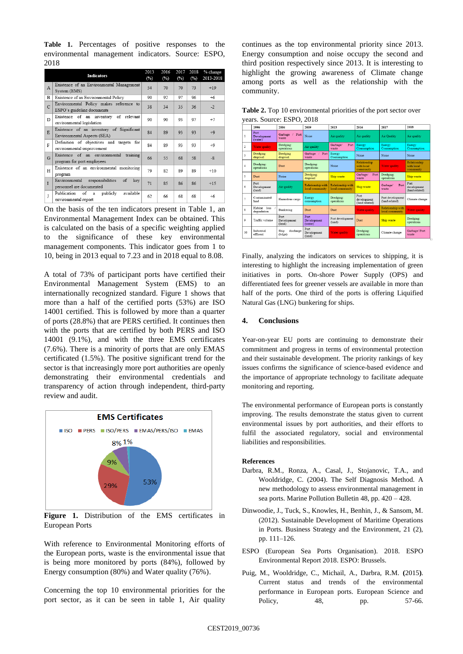**Table 1.** Percentages of positive responses to the environmental management indicators. Source: ESPO, 2018

| <b>Indicators</b> |                                                                            |    | 2016<br>(%) | 2017<br>(%) | 2018<br>(%) | % change<br>2013-2018 |
|-------------------|----------------------------------------------------------------------------|----|-------------|-------------|-------------|-----------------------|
| A                 | Existence of an Environmental Management<br>System (EMS)                   | 54 | 70          | 70          | 73          | $+19$                 |
| B                 | Existence of an Environmental Policy                                       | 90 | 92          | 97          | 96          | $+6$                  |
| $\mathbf C$       | Environmental Policy makes reference to<br>ESPO's guideline documents      | 38 | 34          | 35          | 36          | $-2$                  |
| D                 | Existence of an inventory of relevant<br>environmental legislation         | 90 | 90          | 93          | 97          | $+7$                  |
| E                 | Existence of an inventory of Significant<br>Environmental Aspects (SEA)    | 84 | 89          | 93          | 93          | $+9$                  |
| F                 | Definition of objectives and targets for<br>environmental improvement      | 84 | 89          | 93          | 93          | $+9$                  |
| G                 | Existence of an environmental training<br>program for port employees       | 66 | 55          | 68          | 58          | $-8$                  |
| Н                 | Existence of an environmental monitoring<br>program                        | 79 | 82          | 89          | 89          | $+10$                 |
| I                 | responsibilities<br>of<br>Environmental<br>key<br>personnel are documented | 71 | 85          | 86          | 86          | $+15$                 |
| J                 | Publication<br>of<br>publicly<br>available<br>a<br>environmental report    | 62 | 66          | 68          | 68          | $+6$                  |

On the basis of the ten indicators present in Table 1, an Environmental Management Index can be obtained. This is calculated on the basis of a specific weighting applied to the significance of these key environmental management components. This indicator goes from 1 to 10, being in 2013 equal to 7.23 and in 2018 equal to 8.08.

A total of 73% of participant ports have certified their Environmental Management System (EMS) to an internationally recognized standard. Figure 1 shows that more than a half of the certified ports (53%) are ISO 14001 certified. This is followed by more than a quarter of ports (28.8%) that are PERS certified. It continues then with the ports that are certified by both PERS and ISO 14001 (9.1%), and with the three EMS certificates (7.6%). There is a minority of ports that are only EMAS certificated (1.5%). The positive significant trend for the sector is that increasingly more port authorities are openly demonstrating their environmental credentials and transparency of action through independent, third-party review and audit.



Figure 1. Distribution of the EMS certificates in European Ports

With reference to Environmental Monitoring efforts of the European ports, waste is the environmental issue that is being more monitored by ports (84%), followed by Energy consumption (80%) and Water quality (76%).

Concerning the top 10 environmental priorities for the port sector, as it can be seen in table 1, Air quality continues as the top environmental priority since 2013. Energy consumption and noise occupy the second and third position respectively since 2013. It is interesting to highlight the growing awareness of Climate change among ports as well as the relationship with the community.

**Table 2.** Top 10 environmental priorities of the port sector over years. Source: ESPO, 2018

|                         | 1996                           | 2004                          | 2009                                 | 2013                                 | 2016                                    | 2017                                 | 2018                                    |  |  |  |  |
|-------------------------|--------------------------------|-------------------------------|--------------------------------------|--------------------------------------|-----------------------------------------|--------------------------------------|-----------------------------------------|--|--|--|--|
| $\mathbf{1}$            | Port<br>Development<br>(water) | Garbage<br>Port<br>x<br>waste | Noise                                | Air quality                          | Air quality                             | <b>Air Ouality</b>                   | Air quality                             |  |  |  |  |
| $\overline{2}$          | Water quality                  | Dredging:<br>operations       | Air quality                          | Garbage/<br>Port<br>waste            | Energy<br>Consumption                   | Energy<br>Consumption                | Energy<br>Consumption                   |  |  |  |  |
| $\overline{\mathbf{3}}$ | Dredging<br>disposal           | Dredging<br>disposal          | Garbage /<br>Port<br>waste           | Energy<br>Consumption                | Noise                                   | Noise                                | Noise                                   |  |  |  |  |
| $\overline{4}$          | Dredging:<br>operations        | Dust                          | Dredging:<br>operations              | Noise                                | Relationship<br>with local<br>community | Water quality                        | Relationship<br>with local<br>community |  |  |  |  |
| 5                       | Dust                           | Noise                         | Dredging:<br>disposal                | <b>Ship waste</b>                    | Garbage/<br>Port<br>waste               | Dredging:<br>operations              | Ship waste                              |  |  |  |  |
| 6                       | Port<br>Development<br>(land)  | Air quality                   | Relationship with<br>local community | Relationship with<br>local community | Ship waste                              | Port<br>Garbage/<br>waste            | Port<br>development<br>(land related)   |  |  |  |  |
| n,                      | Contaminated<br>land           | Hazardous cargo               | Energy<br>consumption                | Dredging:<br>operations              | Port<br>development<br>(land related)   | Port development<br>(land related)   | Climate change                          |  |  |  |  |
| s                       | Habitat loss<br>degradation    | Bunkering                     | Dust                                 | Dust                                 | Water quality                           | Relationship with<br>local community | Water quality                           |  |  |  |  |
| 9                       | Traffic volume                 | Port<br>Development<br>(land) | Port<br>Development<br>(water)       | Port development<br>(land)           | Dust                                    | Ship waste                           | Dredging:<br>operations                 |  |  |  |  |
| 10                      | Industrial<br>effluent         | discharge<br>Ship<br>(bilge)  | Port<br>Development<br>(land)        | <b>Water quality</b>                 | Dredging:<br>operations                 | Climate change                       | Garbage/Port<br>waste                   |  |  |  |  |

Finally, analyzing the indicators on services to shipping, it is interesting to highlight the increasing implementation of green initiatives in ports. On-shore Power Supply (OPS) and differentiated fees for greener vessels are available in more than half of the ports. One third of the ports is offering Liquified Natural Gas (LNG) bunkering for ships.

## **4. Conclusions**

Year-on-year EU ports are continuing to demonstrate their commitment and progress in terms of environmental protection and their sustainable development. The priority rankings of key issues confirms the significance of science-based evidence and the importance of appropriate technology to facilitate adequate monitoring and reporting.

The environmental performance of European ports is constantly improving. The results demonstrate the status given to current environmental issues by port authorities, and their efforts to fulfil the associated regulatory, social and environmental liabilities and responsibilities.

#### **References**

- Darbra, R.M., Ronza, A., Casal, J., Stojanovic, T.A., and Wooldridge, C. (2004). The Self Diagnosis Method. A new methodology to assess environmental management in sea ports. Marine Pollution Bulletin 48, pp. 420 – 428.
- Dinwoodie, J., Tuck, S., Knowles, H., Benhin, J., & Sansom, M. (2012). Sustainable Development of Maritime Operations in Ports. Business Strategy and the Environment, 21 (2), pp. 111–126.
- ESPO (European Sea Ports Organisation). 2018. ESPO Environmental Report 2018. ESPO: Brussels.
- Puig, M., Wooldridge, C., Michail, A., Darbra, R.M. **(**2015**)**. Current status and trends of the environmental performance in European ports. European Science and Policy, 48, pp. 57-66.